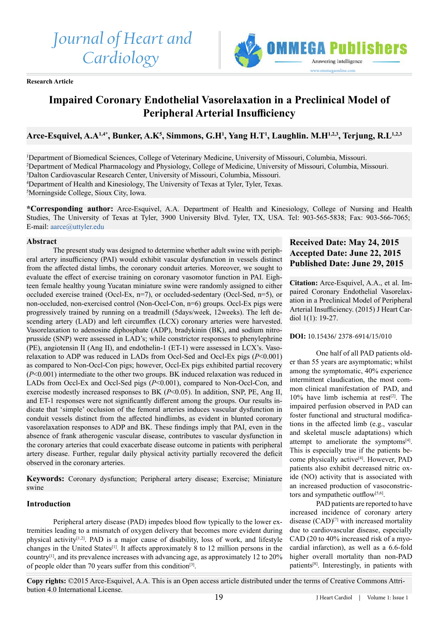# *Journal of Heart and Cardiology*

**Research Article**



# **Impaired Coronary Endothelial Vasorelaxation in a Preclinical Model of Peripheral Arterial Insufficiency**

# **Arce-Esquivel, A.A1,4\*, Bunker, A.K5 , Simmons, G.H1 , Yang H.T1 , Laughlin. M.H1,2,3, Terjung, R.L1,2,3**

 Department of Biomedical Sciences, College of Veterinary Medicine, University of Missouri, Columbia, Missouri. Department of Medical Pharmacology and Physiology, College of Medicine, University of Missouri, Columbia, Missouri. Dalton Cardiovascular Research Center, University of Missouri, Columbia, Missouri. Department of Health and Kinesiology, The University of Texas at Tyler, Tyler, Texas. Morningside College, Sioux City, Iowa.

**\*Corresponding author:** Arce-Esquivel, A.A. Department of Health and Kinesiology, College of Nursing and Health Studies, The University of Texas at Tyler, 3900 University Blvd. Tyler, TX, USA. Tel: 903-565-5838; Fax: 903-566-7065; E-mail: aarce@uttyler.edu

# **Abstract**

The present study was designed to determine whether adult swine with peripheral artery insufficiency (PAI) would exhibit vascular dysfunction in vessels distinct from the affected distal limbs, the coronary conduit arteries. Moreover, we sought to evaluate the effect of exercise training on coronary vasomotor function in PAI. Eighteen female healthy young Yucatan miniature swine were randomly assigned to either occluded exercise trained (Occl-Ex, n=7), or occluded-sedentary (Occl-Sed, n=5), or non-occluded, non-exercised control (Non-Occl-Con, n=6) groups. Occl-Ex pigs were progressively trained by running on a treadmill (5days/week, 12weeks). The left descending artery (LAD) and left circumflex (LCX) coronary arteries were harvested. Vasorelaxation to adenosine diphosphate (ADP), bradykinin (BK), and sodium nitroprusside (SNP) were assessed in LAD's; while constrictor responses to phenylephrine (PE), angiotensin II (Ang II), and endothelin-1 (ET-1) were assessed in LCX's. Vasorelaxation to ADP was reduced in LADs from Occl-Sed and Occl-Ex pigs (*P*<0.001) as compared to Non-Occl-Con pigs; however, Occl-Ex pigs exhibited partial recovery (*P*<0.001) intermediate to the other two groups. BK induced relaxation was reduced in LADs from Occl-Ex and Occl-Sed pigs ( $P<0.001$ ), compared to Non-Occl-Con, and exercise modestly increased responses to BK ( $P$  < 0.05). In addition, SNP, PE, Ang II, and ET-1 responses were not significantly different among the groups. Our results indicate that 'simple' occlusion of the femoral arteries induces vascular dysfunction in conduit vessels distinct from the affected hindlimbs, as evident in blunted coronary vasorelaxation responses to ADP and BK. These findings imply that PAI, even in the absence of frank atherogenic vascular disease, contributes to vascular dysfunction in the coronary arteries that could exacerbate disease outcome in patients with peripheral artery disease. Further, regular daily physical activity partially recovered the deficit observed in the coronary arteries.

**Keywords:** Coronary dysfunction; Peripheral artery disease; Exercise; Miniature swine

# **Introduction**

Peripheral artery disease (PAD) impedes blood flow typically to the lower extremities leading to a mismatch of oxygen delivery that becomes more evident during physical activity[\[1,2\]](#page-7-0). PAD is a major cause of disability, loss of work, and lifestyle changes in the United States[\[1\]](#page-7-0). It affects approximately 8 to 12 million persons in the country[\[1\]](#page-7-0), and its prevalence increases with advancing age, as approximately 12 to 20% of people older than 70 years suffer from this condition[\[3\]](#page-7-1).

# **Received Date: May 24, 2015 Accepted Date: June 22, 2015 Published Date: June 29, 2015**

**Citation:** Arce-Esquivel, A.A., et al. Impaired Coronary Endothelial Vasorelaxation in a Preclinical Model of Peripheral Arterial Insufficiency. (2015) J Heart Cardiol 1(1): 19-27.

# **DOI:** 10.15436/ 2378-6914/15/010

One half of all PAD patients older than 55 years are asymptomatic; whilst among the symptomatic, 40% experience intermittent claudication, the most common clinical manifestation of PAD, and  $10\%$  have limb ischemia at rest<sup>[2]</sup>. The impaired perfusion observed in PAD can foster functional and structural modifications in the affected limb (e.g., vascular and skeletal muscle adaptations) which attempt to ameliorate the symptoms<sup>[4]</sup>. This is especially true if the patients be-come physically active<sup>[\[4\]](#page-7-3)</sup>. However, PAD patients also exhibit decreased nitric oxide (NO) activity that is associated with an increased production of vasoconstric-tors and sympathetic outflow<sup>[\[5,6\]](#page-7-4)</sup>.

PAD patients are reported to have increased incidence of coronary artery disease  $(CAD)^{[7]}$  with increased mortality due to cardiovascular disease, especially CAD (20 to 40% increased risk of a myocardial infarction), as well as a 6.6-fold higher overall mortality than non-PAD patients[\[8\]](#page-7-6). Interestingly, in patients with

**Copy rights:** ©2015 Arce-Esquivel, A.A. This is an Open access article distributed under the terms of Creative Commons Attribution 4.0 International License.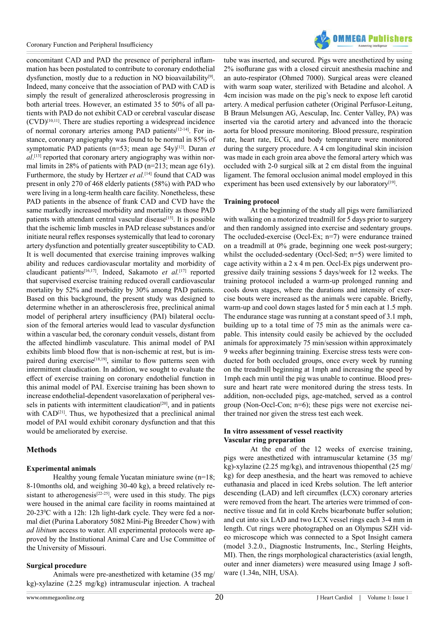

concomitant CAD and PAD the presence of peripheral inflammation has been postulated to contribute to coronary endothelial dysfunction, mostly due to a reduction in NO bioavailability<sup>[9]</sup>. Indeed, many conceive that the association of PAD with CAD is simply the result of generalized atherosclerosis progressing in both arterial trees. However, an estimated 35 to 50% of all patients with PAD do not exhibit CAD or cerebral vascular disease  $(CVD)^{[10,11]}$ . There are studies reporting a widespread incidence of normal coronary arteries among PAD patients<sup>[\[12-14\]](#page-8-0)</sup>. For instance, coronary angiography was found to be normal in 85% of symptomatic PAD patients (n=53; mean age 54y)<sup>[\[12\]](#page-8-0)</sup>. Duran *et al*. [\[13\]](#page-8-1) reported that coronary artery angiography was within normal limits in 28% of patients with PAD (n=213; mean age 61y). Furthermore, the study by Hertzer *et al.*<sup>[\[14\]](#page-8-2)</sup> found that CAD was present in only 270 of 468 elderly patients (58%) with PAD who were living in a long-term health care facility. Nonetheless, these PAD patients in the absence of frank CAD and CVD have the same markedly increased morbidity and mortality as those PAD patients with attendant central vascular disease<sup>[15]</sup>. It is possible that the ischemic limb muscles in PAD release substances and/or initiate neural reflex responses systemically that lead to coronary artery dysfunction and potentially greater susceptibility to CAD. It is well documented that exercise training improves walking ability and reduces cardiovascular mortality and morbidity of claudicant patients[\[16,17\].](#page-8-4) Indeed, Sakamoto *et al.*[\[17\]](#page-8-5) reported that supervised exercise training reduced overall cardiovascular mortality by 52% and morbidity by 30% among PAD patients. Based on this background, the present study was designed to determine whether in an atherosclerosis free, preclinical animal model of peripheral artery insufficiency (PAI) bilateral occlusion of the femoral arteries would lead to vascular dysfunction within a vascular bed, the coronary conduit vessels, distant from the affected hindlimb vasculature. This animal model of PAI exhibits limb blood flow that is non-ischemic at rest, but is impaired during exercise<sup>[18,19]</sup>, similar to flow patterns seen with intermittent claudication. In addition, we sought to evaluate the effect of exercise training on coronary endothelial function in this animal model of PAI. Exercise training has been shown to increase endothelial-dependent vasorelaxation of peripheral ves-sels in patients with intermittent claudication<sup>[\[20\]](#page-8-7)</sup>, and in patients with CAD<sup>[\[21\]](#page-8-8)</sup>. Thus, we hypothesized that a preclinical animal model of PAI would exhibit coronary dysfunction and that this would be ameliorated by exercise.

# **Methods**

#### **Experimental animals**

Healthy young female Yucatan miniature swine (n=18; 8-10months old, and weighing 30-40 kg), a breed relatively re-sistant to atherogenesis<sup>[\[22-25\]](#page-8-9)</sup>, were used in this study. The pigs were housed in the animal care facility in rooms maintained at 20-23<sup>°</sup>C with a 12h: 12h light-dark cycle. They were fed a normal diet (Purina Laboratory 5082 Mini-Pig Breeder Chow) with *ad libitum* access to water. All experimental protocols were approved by the Institutional Animal Care and Use Committee of the University of Missouri.

#### **Surgical procedure**

Animals were pre-anesthetized with ketamine (35 mg/ kg)-xylazine (2.25 mg/kg) intramuscular injection. A tracheal tube was inserted, and secured. Pigs were anesthetized by using 2% isoflurane gas with a closed circuit anesthesia machine and an auto-respirator (Ohmed 7000). Surgical areas were cleaned with warm soap water, sterilized with Betadine and alcohol. A 4cm incision was made on the pig's neck to expose left carotid artery. A medical perfusion catheter (Original Perfusor-Leitung, B Braun Melsungen AG, Aesculap, Inc. Center Valley, PA) was inserted via the carotid artery and advanced into the thoracic aorta for blood pressure monitoring. Blood pressure, respiration rate, heart rate, ECG, and body temperature were monitored during the surgery procedure. A 4 cm longitudinal skin incision was made in each groin area above the femoral artery which was occluded with 2-0 surgical silk at 2 cm distal from the inguinal ligament. The femoral occlusion animal model employed in this experiment has been used extensively by our laboratory<sup>[\[19\]](#page-8-10)</sup>.

#### **Training protocol**

At the beginning of the study all pigs were familiarized with walking on a motorized treadmill for 5 days prior to surgery and then randomly assigned into exercise and sedentary groups. The occluded-exercise (Occl-Ex; n=7) were endurance trained on a treadmill at 0% grade, beginning one week post-surgery; whilst the occluded-sedentary (Occl-Sed; n=5) were limited to cage activity within a 2 x 4 m pen. Occl-Ex pigs underwent progressive daily training sessions 5 days/week for 12 weeks. The training protocol included a warm-up prolonged running and cools down stages, where the durations and intensity of exercise bouts were increased as the animals were capable. Briefly, warm-up and cool down stages lasted for 5 min each at 1.5 mph. The endurance stage was running at a constant speed of 3.1 mph, building up to a total time of 75 min as the animals were capable. This intensity could easily be achieved by the occluded animals for approximately 75 min/session within approximately 9 weeks after beginning training. Exercise stress tests were conducted for both occluded groups, once every week by running on the treadmill beginning at 1mph and increasing the speed by 1mph each min until the pig was unable to continue. Blood pressure and heart rate were monitored during the stress tests. In addition, non-occluded pigs, age-matched, served as a control group (Non-Occl-Con; n=6); these pigs were not exercise neither trained nor given the stress test each week.

#### **In vitro assessment of vessel reactivity Vascular ring preparation**

At the end of the 12 weeks of exercise training, pigs were anesthetized with intramuscular ketamine (35 mg/ kg)-xylazine (2.25 mg/kg), and intravenous thiopenthal (25 mg/ kg) for deep anesthesia, and the heart was removed to achieve euthanasia and placed in iced Krebs solution. The left anterior descending (LAD) and left circumflex (LCX) coronary arteries were removed from the heart. The arteries were trimmed of connective tissue and fat in cold Krebs bicarbonate buffer solution; and cut into six LAD and two LCX vessel rings each 3-4 mm in length. Cut rings were photographed on an Olympus SZH video microscope which was connected to a Spot Insight camera (model 3.2.0., Diagnostic Instruments, Inc., Sterling Heights, MI). Then, the rings morphological characteristics (axial length, outer and inner diameters) were measured using Image J software (1.34n, NIH, USA).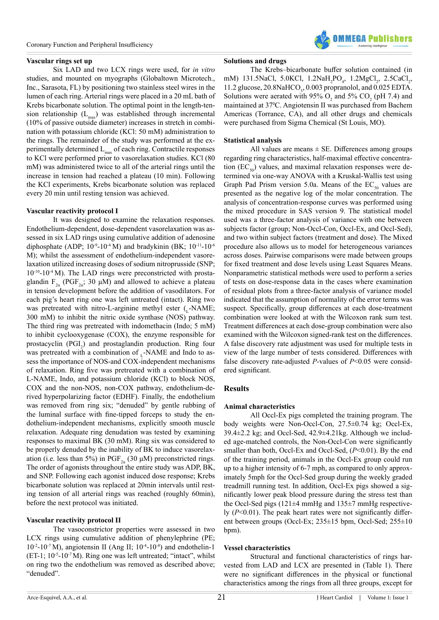# **Vascular rings set up**

Six LAD and two LCX rings were used, for *in vitro* studies, and mounted on myographs (Globaltown Microtech., Inc., Sarasota, FL) by positioning two stainless steel wires in the lumen of each ring. Arterial rings were placed in a 20 mL bath of Krebs bicarbonate solution. The optimal point in the length-tension relationship  $(L_{\text{max}})$  was established through incremental (10% of passive outside diameter) increases in stretch in combination with potassium chloride (KCl: 50 mM) administration to the rings. The remainder of the study was performed at the experimentally determined  $L_{\text{max}}$  of each ring. Contractile responses to KCl were performed prior to vasorelaxation studies. KCl (80 mM) was administered twice to all of the arterial rings until the increase in tension had reached a plateau (10 min). Following the KCl experiments, Krebs bicarbonate solution was replaced every 20 min until resting tension was achieved.

# **Vascular reactivity protocol I**

It was designed to examine the relaxation responses. Endothelium-dependent, dose-dependent vasorelaxation was assessed in six LAD rings using cumulative addition of adenosine diphosphate (ADP;  $10^{-9}$ -10<sup>-4</sup> M) and bradykinin (BK;  $10^{-11}$ -10<sup>-6</sup> M); whilst the assessment of endothelium-independent vasorelaxation utilized increasing doses of sodium nitroprusside (SNP;  $10^{-10}$ - $10^{-4}$  M). The LAD rings were preconstricted with prostaglandin  $F_{2\alpha}$  (PGF<sub>2α</sub>; 30 μM) and allowed to achieve a plateau in tension development before the addition of vasodilators. For each pig's heart ring one was left untreated (intact). Ring two was pretreated with nitro-L-arginine methyl ester  $(_{r}$ -NAME; 300 mM) to inhibit the nitric oxide synthase (NOS) pathway. The third ring was pretreated with indomethacin (Indo; 5 mM) to inhibit cyclooxygenase (COX), the enzyme responsible for prostacyclin (PGI<sub>2</sub>) and prostaglandin production. Ring four was pretreated with a combination of  $\Gamma$ -NAME and Indo to assess the importance of NOS-and COX-independent mechanisms of relaxation. Ring five was pretreated with a combination of L-NAME, Indo, and potassium chloride (KCl) to block NOS, COX and the non-NOS, non-COX pathway, endothelium-derived hyperpolarizing factor (EDHF). Finally, the endothelium was removed from ring six; "denuded" by gentle rubbing of the luminal surface with fine-tipped forceps to study the endothelium-independent mechanisms, explicitly smooth muscle relaxation. Adequate ring denudation was tested by examining responses to maximal BK (30 mM). Ring six was considered to be properly denuded by the inability of BK to induce vasorelaxation (i.e. less than 5%) in PGF<sub>2 $\alpha$ </sub> (30  $\mu$ M) preconstricted rings. The order of agonists throughout the entire study was ADP, BK, and SNP. Following each agonist induced dose response; Krebs bicarbonate solution was replaced at 20min intervals until resting tension of all arterial rings was reached (roughly 60min), before the next protocol was initiated.

# **Vascular reactivity protocol II**

The vasoconstrictor properties were assessed in two LCX rings using cumulative addition of phenylephrine (PE;  $10^{-2}$ -10<sup>-7</sup> M), angiotensin II (Ang II;  $10^{-4}$ -10<sup>-8</sup>) and endothelin-1  $(ET-1; 10^{-5}-10^{-7}M)$ . Ring one was left untreated; "intact", whilst on ring two the endothelium was removed as described above; "denuded".

#### **Solutions and drugs**

The Krebs–bicarbonate buffer solution contained (in mM) 131.5NaCl, 5.0KCl, 1.2NaH<sub>2</sub>PO<sub>4</sub>, 1.2MgCl<sub>2</sub>, 2.5CaCl<sub>2</sub>, 11.2 glucose,  $20.8$ NaHCO<sub>3</sub>,  $0.003$  propranolol, and  $0.025$  EDTA. Solutions were aerated with 95%  $O_2$  and 5%  $CO_2$  (pH 7.4) and maintained at 37<sup>0</sup> C. Angiotensin II was purchased from Bachem Americas (Torrance, CA), and all other drugs and chemicals were purchased from Sigma Chemical (St Louis, MO).

#### **Statistical analysis**

All values are means  $\pm$  SE. Differences among groups regarding ring characteristics, half-maximal effective concentration  $(EC_{50})$  values, and maximal relaxation responses were determined via one-way ANOVA with a Kruskal-Wallis test using Graph Pad Prism version 5.0a. Means of the  $EC_{50}$  values are presented as the negative log of the molar concentration. The analysis of concentration-response curves was performed using the mixed procedure in SAS version 9. The statistical model used was a three-factor analysis of variance with one between subjects factor (group; Non-Occl-Con, Occl-Ex, and Occl-Sed), and two within subject factors (treatment and dose). The Mixed procedure also allows us to model for heterogeneous variances across doses. Pairwise comparisons were made between groups for fixed treatment and dose levels using Least Squares Means. Nonparametric statistical methods were used to perform a series of tests on dose-response data in the cases where examination of residual plots from a three-factor analysis of variance model indicated that the assumption of normality of the error terms was suspect. Specifically, group differences at each dose-treatment combination were looked at with the Wilcoxon rank sum test. Treatment differences at each dose-group combination were also examined with the Wilcoxon signed-rank test on the differences. A false discovery rate adjustment was used for multiple tests in view of the large number of tests considered. Differences with false discovery rate-adjusted *P*-values of  $P<0.05$  were considered significant.

# **Results**

# **Animal characteristics**

All Occl-Ex pigs completed the training program. The body weights were Non-Occl-Con, 27.5±0.74 kg; Occl-Ex, 39.4±2.2 kg; and Occl-Sed, 42.9±4.21kg. Although we included age-matched controls, the Non-Occl-Con were significantly smaller than both, Occl-Ex and Occl-Sed, ( $P<0.01$ ). By the end of the training period, animals in the Occl-Ex group could run up to a higher intensity of 6-7 mph, as compared to only approximately 5mph for the Occl-Sed group during the weekly graded treadmill running test. In addition, Occl-Ex pigs showed a significantly lower peak blood pressure during the stress test than the Occl-Sed pigs (121 $\pm$ 4 mmHg and 135 $\pm$ 7 mmHg respectively (*P*<0.01). The peak heart rates were not significantly different between groups (Occl-Ex; 235±15 bpm, Occl-Sed; 255±10 bpm).

#### **Vessel characteristics**

Structural and functional characteristics of rings harvested from LAD and LCX are presented in (Table 1). There were no significant differences in the physical or functional characteristics among the rings from all three groups, except for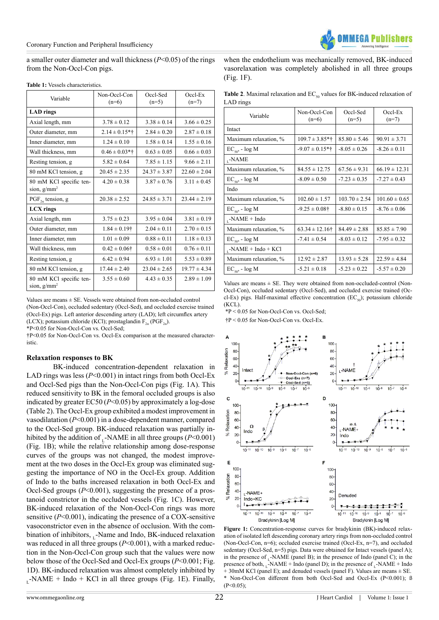a smaller outer diameter and wall thickness (*P*<0.05) of the rings from the Non-Occl-Con pigs.

| Variable                                  | Non-Occl-Con<br>$(n=6)$ | Occl-Sed<br>$(n=5)$ | $Occl$ -Ex<br>$(n=7)$ |
|-------------------------------------------|-------------------------|---------------------|-----------------------|
| <b>LAD</b> rings                          |                         |                     |                       |
| Axial length, mm                          | $3.78 \pm 0.12$         | $3.38 \pm 0.14$     | $3.66 \pm 0.25$       |
| Outer diameter, mm                        | $2.14 \pm 0.15*$ †      | $2.84 \pm 0.20$     | $2.87 \pm 0.18$       |
| Inner diameter, mm                        | $1.24 \pm 0.10$         | $1.58 \pm 0.14$     | $1.55 \pm 0.16$       |
| Wall thickness, mm                        | $0.46 \pm 0.03*$ †      | $0.63 \pm 0.05$     | $0.66 \pm 0.03$       |
| Resting tension, g                        | $5.82 \pm 0.64$         | $7.85 \pm 1.15$     | $9.66 \pm 2.11$       |
| 80 mM KCl tension, g                      | $20.45 \pm 2.35$        | $24.37 \pm 3.87$    | $22.60 \pm 2.04$      |
| 80 mM KCl specific ten-<br>sion, $g/mm^2$ | $4.20 \pm 0.38$         | $3.87 \pm 0.76$     | $3.11 \pm 0.45$       |
| $PGF_{2a}$ tension, g                     | $20.38 \pm 2.52$        | $24.85 \pm 3.71$    | $23.44 \pm 2.19$      |
| <b>LCX</b> rings                          |                         |                     |                       |
| Axial length, mm                          | $3.75 \pm 0.23$         | $3.95 \pm 0.04$     | $3.81 \pm 0.19$       |
| Outer diameter, mm                        | $1.84 \pm 0.19$ †       | $2.04 \pm 0.11$     | $2.70 \pm 0.15$       |
| Inner diameter, mm                        | $1.01 \pm 0.09$         | $0.88 \pm 0.11$     | $1.18 \pm 0.13$       |
| Wall thickness, mm                        | $0.42 \pm 0.06\dagger$  | $0.58 \pm 0.01$     | $0.76 \pm 0.11$       |
| Resting tension, g                        | $6.42 \pm 0.94$         | $6.93 \pm 1.01$     | $5.53 \pm 0.89$       |
| 80 mM KCl tension, g                      | $17.44 \pm 2.40$        | $23.04 \pm 2.65$    | $19.77 \pm 4.34$      |
| 80 mM KCl specific ten-<br>sion, $g/mm^2$ | $3.55 \pm 0.60$         | $4.43 \pm 0.35$     | $2.89 \pm 1.09$       |

**Table 1:** Vessels characteristics.

Values are means ± SE. Vessels were obtained from non-occluded control (Non-Occl-Con), occluded sedentary (Occl-Sed), and occluded exercise trained (Occl-Ex) pigs. Left anterior descending artery (LAD); left circumflex artery (LCX); potassium chloride (KCl); prostaglandin  $F_{2a}$  (PGF<sub>2a</sub>).

\*P<0.05 for Non-Occl-Con vs. Occl-Sed;

†P<0.05 for Non-Occl-Con vs. Occl-Ex comparison at the measured characteristic.

# **Relaxation responses to BK**

BK-induced concentration-dependent relaxation in LAD rings was less ( $P<0.001$ ) in intact rings from both Occl-Ex and Occl-Sed pigs than the Non-Occl-Con pigs (Fig. 1A). This reduced sensitivity to BK in the femoral occluded groups is also indicated by greater EC50 (*P*<0.05) by approximately a log-dose (Table 2). The Occl-Ex group exhibited a modest improvement in vasodilatation (*P*<0.001) in a dose-dependent manner, compared to the Occl-Sed group. BK-induced relaxation was partially inhibited by the addition of  $\Gamma$ -NAME in all three groups ( $P \le 0.001$ ) (Fig. 1B); while the relative relationship among dose-response curves of the groups was not changed, the modest improvement at the two doses in the Occl-Ex group was eliminated suggesting the importance of NO in the Occl-Ex group. Addition of Indo to the baths increased relaxation in both Occl-Ex and Occl-Sed groups (*P*<0.001), suggesting the presence of a prostanoid constrictor in the occluded vessels (Fig. 1C). However, BK-induced relaxation of the Non-Occl-Con rings was more sensitive (*P*<0.001), indicating the presence of a COX-sensitive vasoconstrictor even in the absence of occlusion. With the combination of inhibitors,  $L_1$ -Name and Indo, BK-induced relaxation was reduced in all three groups ( $P<0.001$ ), with a marked reduction in the Non-Occl-Con group such that the values were now below those of the Occl-Sed and Occl-Ex groups (*P*<0.001; Fig. 1D). BK-induced relaxation was almost completely inhibited by  $L$ -NAME + Indo + KCl in all three groups (Fig. 1E). Finally, when the endothelium was mechanically removed, BK-induced vasorelaxation was completely abolished in all three groups (Fig. 1F).

**Table 2**. Maximal relaxation and  $EC_{50}$  values for BK-induced relaxation of LAD rings

| Variable               | Non-Occl-Con<br>$(n=6)$        | Occl-Sed<br>$(n=5)$ | $Occl$ -Ex<br>$(n=7)$ |
|------------------------|--------------------------------|---------------------|-----------------------|
| Intact                 |                                |                     |                       |
| Maximum relaxation, %  | $109.7 \pm 3.85$ *†            | $85.80 \pm 5.46$    | $90.91 \pm 3.71$      |
| $EC_{50}$ , - $log M$  | $-9.07 \pm 0.15$ *†            | $-8.05 \pm 0.26$    | $-8.26 \pm 0.11$      |
| , -NAME                |                                |                     |                       |
| Maximum relaxation, %  | $84.55 \pm 12.75$              | $67.56 \pm 9.31$    | $66.19 \pm 12.31$     |
| $EC_{50}$ , - log M    | $-8.09 \pm 0.50$               | $-7.23 \pm 0.35$    | $-7.27 \pm 0.43$      |
| Indo                   |                                |                     |                       |
| Maximum relaxation, %  | $102.60 \pm 1.57$              | $103.70 \pm 2.54$   | $101.60 \pm 0.65$     |
| $EC_{50}$ , - log M    | $-9.25 \pm 0.08$ †             | $-8.80 \pm 0.15$    | $-8.76 \pm 0.06$      |
| $_{1}$ -NAME + Indo    |                                |                     |                       |
| Maximum relaxation, %  | $63.34 \pm 12.16$ <sup>+</sup> | $84.49 \pm 2.88$    | $85.85 \pm 7.90$      |
| $EC_{50}$ , - $log M$  | $-7.41 \pm 0.54$               | $-8.03 \pm 0.12$    | $-7.95 \pm 0.32$      |
| $K$ -NAME + Indo + KCl |                                |                     |                       |
| Maximum relaxation, %  | $12.92 \pm 2.87$               | $13.93 \pm 5.28$    | $22.59 \pm 4.84$      |
| $EC_{50}$ , - log M    | $-5.21 \pm 0.18$               | $-5.23 \pm 0.22$    | $-5.57 \pm 0.20$      |

Values are means  $\pm$  SE. They were obtained from non-occluded-control (Non-Occl-Con), occluded sedentary (Occl-Sed), and occluded exercise trained (Occl-Ex) pigs. Half-maximal effective concentration (EC<sub> $\epsilon$ o</sub>); potassium chloride (KCL).

\*P < 0.05 for Non-Occl-Con vs. Occl-Sed;

†P < 0.05 for Non-Occl-Con vs. Occl-Ex.



Figure 1: Concentration-response curves for bradykinin (BK)-induced relaxation of isolated left descending coronary artery rings from non-occluded control (Non-Occl-Con, n=6); occluded exercise trained (Occl-Ex, n=7), and occluded sedentary (Occl-Sed, n=5) pigs. Data were obtained for Intact vessels (panel A); in the presence of  $\Gamma$ -NAME (panel B); in the presence of Indo (panel C); in the presence of both,  $\tilde{N}$ -NAME + Indo (panel D); in the presence of  $\tilde{N}$ -NAME + Indo  $+ 30$ mM KCl (panel E); and denuded vessels (panel F). Values are means  $\pm$  SE. Non-Occl-Con different from both Occl-Sed and Occl-Ex (P<0.001); ß  $(P<0.05)$ ;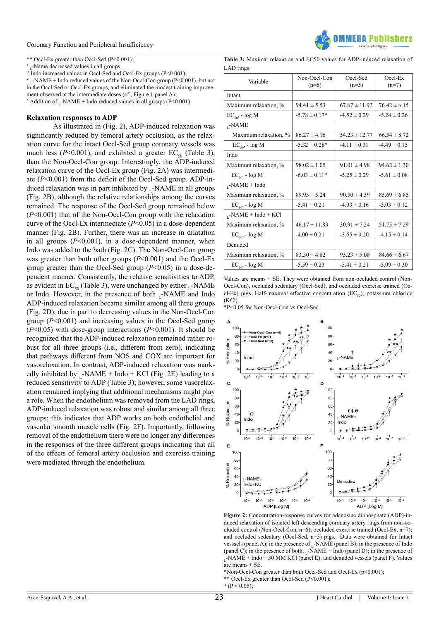#### Coronary Function and Peripheral Insufficiency

\*\* Occl-Ex greater than Occl-Sed (P<0.001);

†

<sup>†</sup><sub>L</sub>-Name decreased values in all groups;  $\Omega$  Indo increased values in Occl-Sed and Occl-Ex groups (P<0.001);

 $\text{W}_{\text{L}}$ -NAME + Indo reduced values of the Non-Occl-Con group (P<0.001), but not in the Occl-Sed or Occl-Ex groups, and eliminated the modest training improvement observed at the intermediate doses (cf., Figure 1 panel A);

 $\triangle$  Addition of \_-NAME + Indo reduced values in all groups (P<0.001).

#### **Relaxation responses to ADP**

As illustrated in (Fig. 2), ADP-induced relaxation was significantly reduced by femoral artery occlusion, as the relaxation curve for the intact Occl-Sed group coronary vessels was much less ( $P$ <0.001), and exhibited a greater EC<sub>50</sub> (Table 3), than the Non-Occl-Con group. Interestingly, the ADP-induced relaxation curve of the Occl-Ex group (Fig. 2A) was intermediate (*P*<0.001) from the deficit of the Occl-Sed group. ADP-induced relaxation was in part inhibited by  $L$ -NAME in all groups (Fig. 2B), although the relative relationships among the curves remained. The response of the Occl-Sed group remained below (*P*<0.001) that of the Non-Occl-Con group with the relaxation curve of the Occl-Ex intermediate (*P*<0.05) in a dose-dependent manner (Fig. 2B). Further, there was an increase in dilatation in all groups (*P*<0.001), in a dose-dependent manner, when Indo was added to the bath (Fig. 2C). The Non-Occl-Con group was greater than both other groups ( $P<0.001$ ) and the Occl-Ex group greater than the Occl-Sed group (*P*<0.05) in a dose-dependent manner. Consistently, the relative sensitivities to ADP, as evident in  $EC_{50}$  (Table 3), were unchanged by either  $L$ -NAME or Indo. However, in the presence of both -NAME and Indo ADP-induced relaxation became similar among all three groups (Fig. 2D), due in part to decreasing values in the Non-Occl-Con group (*P*<0.001) and increasing values in the Occl-Sed group (*P*<0.05) with dose-group interactions (*P*<0.001). It should be recognized that the ADP-induced relaxation remained rather robust for all three groups (i.e., different from zero), indicating that pathways different from NOS and COX are important for vasorelaxation. In contrast, ADP-induced relaxation was markedly inhibited by  $_L$ -NAME + Indo + KCl (Fig. 2E) leading to a reduced sensitivity to ADP (Table 3); however, some vasorelaxation remained implying that additional mechanisms might play a role. When the endothelium was removed from the LAD rings, ADP-induced relaxation was robust and similar among all three groups; this indicates that ADP works on both endothelial and vascular smooth muscle cells (Fig. 2F). Importantly, following removal of the endothelium there were no longer any differences in the responses of the three different groups indicating that all of the effects of femoral artery occlusion and exercise training were mediated through the endothelium.



**Table 3:** Maximal relaxation and EC50 values for ADP-induced relaxation of LAD rings.

| Variable                  | Non-Occl-Con<br>$(n=6)$ | Occl-Sed<br>$(n=5)$ | $Occl$ -Ex<br>$(n=7)$ |
|---------------------------|-------------------------|---------------------|-----------------------|
| Intact                    |                         |                     |                       |
| Maximum relaxation, %     | $94.41 \pm 5.53$        | $67.67 \pm 11.92$   | $76.42 \pm 6.15$      |
| $EC_{50}$ , - $log M$     | $-5.78 \pm 0.17*$       | $-4.52 \pm 0.29$    | $-5.24 \pm 0.26$      |
| $_{L}$ -NAME              |                         |                     |                       |
| Maximum relaxation. %     | $86.27 \pm 4.16$        | $54.23 \pm 12.77$   | $66.54 \pm 8.72$      |
| $EC_{50}$ , - log M       | $-5.32 \pm 0.28*$       | $-4.11 \pm 0.31$    | $-4.49 \pm 0.15$      |
| Indo                      |                         |                     |                       |
| Maximum relaxation, %     | $98.02 \pm 1.05$        | $91.01 \pm 4.98$    | $94.62 \pm 1.30$      |
| $EC_{50}$ , - log M       | $-6.03 \pm 0.11*$       | $-5.25 \pm 0.29$    | $-5.61 \pm 0.08$      |
| $, -NAME + Indo$          |                         |                     |                       |
| Maximum relaxation, %     | $89.93 \pm 5.24$        | $90.50 \pm 4.59$    | $85.69 \pm 6.85$      |
| $EC_{50}$ , - log M       | $-5.41 \pm 0.21$        | $-4.93 \pm 0.16$    | $-5.03 \pm 0.12$      |
| $_{1}$ -NAME + Indo + KCl |                         |                     |                       |
| Maximum relaxation, %     | $46.17 \pm 11.83$       | $30.91 \pm 7.24$    | $51.75 \pm 7.29$      |
| $EC_{50}$ , - log M       | $-4.00 \pm 0.21$        | $-3.65 \pm 0.20$    | $-4.15 \pm 0.14$      |
| Denuded                   |                         |                     |                       |
| Maximum relaxation, %     | $83.30 \pm 4.82$        | $93.23 \pm 5.08$    | $84.66 \pm 6.67$      |
| $EC_{50}$ , - log M       | $-5.59 \pm 0.23$        | $-5.41 \pm 0.21$    | $-5.09 \pm 0.30$      |

Values are means  $\pm$  SE. They were obtained from non-occluded control (Non-Occl-Con), occluded sedentary (Occl-Sed), and occluded exercise trained (Occl-Ex) pigs. Half-maximal effective concentration (EC<sub>50</sub>); potassium chloride (KCl).

\*P<0.05 for Non-Occl-Con vs Occl-Sed.



**Figure 2:** Concentration-response curves for adenosine diphosphate (ADP)-induced relaxation of isolated left descending coronary artery rings from non-occluded control (Non-Occl-Con, n=6); occluded exercise trained (Occl-Ex, n=7); and occluded sedentary (Occl-Sed, n=5) pigs. Data were obtained for Intact vesssels (panel A); in the presence of  $\cdot$ -NAME (panel B); in the presence of Indo (panel C); in the presence of both,  $\overline{N}$ -NAME + Indo (panel D); in the presence of  $L$ -NAME + Indo + 30 MM KCl (panel E); and denuded vessels (panel F). Values are means  $\pm$  SE.

\*Non-Occl-Con greater than both Occl-Sed and Occl-Ex (p<0.001);

\*\* Occl-Ex greater than Occl-Sed (P<0.001);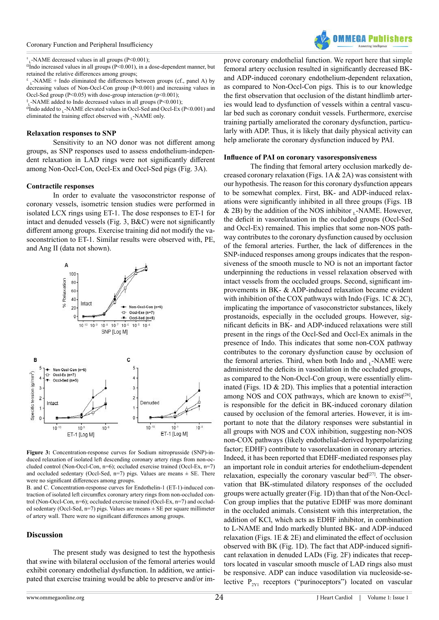#### Coronary Function and Peripheral Insufficiency

 $\textsuperscript{\textcolor{red}{\dagger}}$ <sub>L</sub>-NAME decreased values in all groups (P<0.001);

 $\Omega$ Indo increased values in all groups (P<0.001), in a dose-dependent manner, but retained the relative differences among groups;

£  $L$ -NAME + Indo eliminated the differences between groups (cf., panel A) by decreasing values of Non-Occl-Con group (P<0.001) and increasing values in Occl-Sed group ( $P \le 0.05$ ) with dose-group interaction ( $p \le 0.001$ );

§ <sup>L</sup>-NAME added to Indo decreased values in all groups (P<0.001);

 $\overline{^{6}}$ Indo added to \_-NAME elevated values in Occl-Sed and Occl-Ex (P<0.001) and eliminated the training effect observed with  $_L$ -NAME only.

#### **Relaxation responses to SNP**

Sensitivity to an NO donor was not different among groups, as SNP responses used to assess endothelium-independent relaxation in LAD rings were not significantly different among Non-Occl-Con, Occl-Ex and Occl-Sed pigs (Fig. 3A).

#### **Contractile responses**

In order to evaluate the vasoconstrictor response of coronary vessels, isometric tension studies were performed in isolated LCX rings using ET-1. The dose responses to ET-1 for intact and denuded vessels (Fig. 3, B&C) were not significantly different among groups. Exercise training did not modify the vasoconstriction to ET-1. Similar results were observed with, PE, and Ang II (data not shown).



**Figure 3:** Concentration-response curves for Sodium nitroprusside (SNP)-induced relaxation of isolated left descending coronary artery rings from non-occluded control (Non-Occl-Con, n=6); occluded exercise trained (Occl-Ex, n=7) and occluded sedentary (Occl-Sed, n=7) pigs. Values are means  $\pm$  SE. There were no significant differences among groups.

B. and C. Concentration-response curves for Endothelin-1 (ET-1)-induced contraction of isolated left circumflex coronary artery rings from non-occluded control (Non-Occl-Con, n=6); occluded exercise trained (Occl-Ex, n=7) and occluded sedentary (Occl-Sed,  $n=7$ ) pigs. Values are means  $\pm$  SE per square millimeter of artery wall. There were no significant differences among groups.

#### **Discussion**

The present study was designed to test the hypothesis that swine with bilateral occlusion of the femoral arteries would exhibit coronary endothelial dysfunction. In addition, we anticipated that exercise training would be able to preserve and/or im-



prove coronary endothelial function. We report here that simple femoral artery occlusion resulted in significantly decreased BKand ADP-induced coronary endothelium-dependent relaxation, as compared to Non-Occl-Con pigs. This is to our knowledge the first observation that occlusion of the distant hindlimb arteries would lead to dysfunction of vessels within a central vascular bed such as coronary conduit vessels. Furthermore, exercise training partially ameliorated the coronary dysfunction, particularly with ADP. Thus, it is likely that daily physical activity can help ameliorate the coronary dysfunction induced by PAI.

#### **Influence of PAI on coronary vasoresponsiveness**

The finding that femoral artery occlusion markedly decreased coronary relaxation (Figs. 1A & 2A) was consistent with our hypothesis. The reason for this coronary dysfunction appears to be somewhat complex. First, BK- and ADP-induced relaxations were significantly inhibited in all three groups (Figs. 1B & 2B) by the addition of the NOS inhibitor  $\Gamma$ -NAME. However, the deficit in vasorelaxation in the occluded groups (Occl-Sed and Occl-Ex) remained. This implies that some non-NOS pathway contributes to the coronary dysfunction caused by occlusion of the femoral arteries. Further, the lack of differences in the SNP-induced responses among groups indicates that the responsiveness of the smooth muscle to NO is not an important factor underpinning the reductions in vessel relaxation observed with intact vessels from the occluded groups. Second, significant improvements in BK- & ADP-induced relaxation became evident with inhibition of the COX pathways with Indo (Figs. 1C  $& 2C$ ), implicating the importance of vasoconstrictor substances, likely prostanoids, especially in the occluded groups. However, significant deficits in BK- and ADP-induced relaxations were still present in the rings of the Occl-Sed and Occl-Ex animals in the presence of Indo. This indicates that some non-COX pathway contributes to the coronary dysfunction cause by occlusion of the femoral arteries. Third, when both Indo and  $\sim$ -NAME were administered the deficits in vasodilation in the occluded groups, as compared to the Non-Occl-Con group, were essentially eliminated (Figs. 1D & 2D). This implies that a potential interaction among NOS and COX pathways, which are known to exist<sup>[26]</sup>, is responsible for the deficit in BK-induced coronary dilation caused by occlusion of the femoral arteries. However, it is important to note that the dilatory responses were substantial in all groups with NOS and COX inhibition, suggesting non-NOS non-COX pathways (likely endothelial-derived hyperpolarizing factor; EDHF) contribute to vasorelaxation in coronary arteries. Indeed, it has been reported that EDHF-mediated responses play an important role in conduit arteries for endothelium-dependent relaxation, especially the coronary vascular bed $[27]$ . The observation that BK-stimulated dilatory responses of the occluded groups were actually greater (Fig. 1D) than that of the Non-Occl-Con group implies that the putative EDHF was more dominant in the occluded animals. Consistent with this interpretation, the addition of KCl, which acts as EDHF inhibitor, in combination to L-NAME and Indo markedly blunted BK- and ADP-induced relaxation (Figs. 1E & 2E) and eliminated the effect of occlusion observed with BK (Fig. 1D). The fact that ADP-induced significant relaxation in denuded LADs (Fig. 2F) indicates that receptors located in vascular smooth muscle of LAD rings also must be responsive. ADP can induce vasodilation via nucleoside-selective  $P_{2Y1}$  receptors ("purinoceptors") located on vascular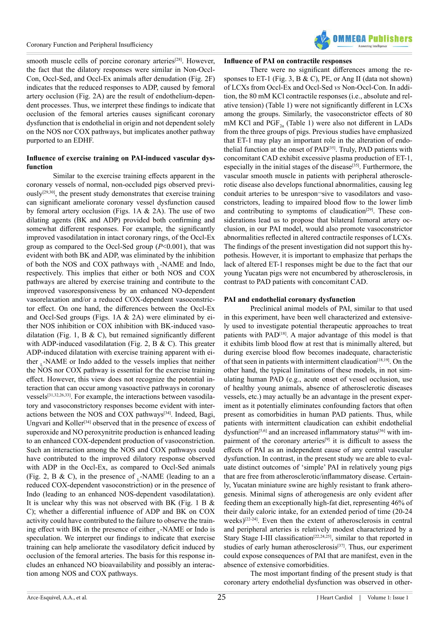

smooth muscle cells of porcine coronary arteries<sup>[28]</sup>. However, the fact that the dilatory responses were similar in Non-Occl-Con, Occl-Sed, and Occl-Ex animals after denudation (Fig. 2F) indicates that the reduced responses to ADP, caused by femoral artery occlusion (Fig. 2A) are the result of endothelium-dependent processes. Thus, we interpret these findings to indicate that occlusion of the femoral arteries causes significant coronary dysfunction that is endothelial in origin and not dependent solely on the NOS nor COX pathways, but implicates another pathway purported to an EDHF.

# **Influence of exercise training on PAI-induced vascular dysfunction**

Similar to the exercise training effects apparent in the coronary vessels of normal, non-occluded pigs observed previously[\[29,30\],](#page-8-14) the present study demonstrates that exercise training can significant ameliorate coronary vessel dysfunction caused by femoral artery occlusion (Figs. 1A & 2A). The use of two dilating agents (BK and ADP) provided both confirming and somewhat different responses. For example, the significantly improved vasodilatation in intact coronary rings, of the Occl-Ex group as compared to the Occl-Sed group (*P*<0.001), that was evident with both BK and ADP, was eliminated by the inhibition of both the NOS and COX pathways with  $\sim$ -NAME and Indo, respectively. This implies that either or both NOS and COX pathways are altered by exercise training and contribute to the improved vasoresponsiveness by an enhanced NO-dependent vasorelaxation and/or a reduced COX-dependent vasoconstrictor effect. On one hand, the differences between the Occl-Ex and Occl-Sed groups (Figs. 1A & 2A) were eliminated by either NOS inhibition or COX inhibition with BK-induced vasodilatation (Fig. 1, B & C), but remained significantly different with ADP-induced vasodilatation (Fig. 2, B & C). This greater ADP-induced dilatation with exercise training apparent with either -NAME or Indo added to the vessels implies that neither the NOS nor COX pathway is essential for the exercise training effect. However, this view does not recognize the potential interaction that can occur among vasoactive pathways in coronary vessels[\[31,32,26,33\].](#page-8-15) For example, the interactions between vasodilatory and vasoconstrictory responses become evident with interactions between the NOS and COX pathway[s\[34\].](#page-8-16) Indeed, Bagi, Ungvari and Koller<sup>[\[34\]](#page-8-16)</sup> observed that in the presence of excess of superoxide and NO peroxynitrite production is enhanced leading to an enhanced COX-dependent production of vasoconstriction. Such an interaction among the NOS and COX pathways could have contributed to the improved dilatory response observed with ADP in the Occl-Ex, as compared to Occl-Sed animals (Fig. 2, B & C), in the presence of  $L$ -NAME (leading to an a reduced COX-dependent vasoconstriction) or in the presence of Indo (leading to an enhanced NOS-dependent vasodilatation). It is unclear why this was not observed with BK (Fig. 1 B & C); whether a differential influence of ADP and BK on COX activity could have contributed to the failure to observe the training effect with BK in the presence of either  $_L$ -NAME or Indo is speculation. We interpret our findings to indicate that exercise training can help ameliorate the vasodilatory deficit induced by occlusion of the femoral arteries. The basis for this response includes an enhanced NO bioavailability and possibly an interaction among NOS and COX pathways.

# **Influence of PAI on contractile responses**

There were no significant differences among the responses to ET-1 (Fig. 3, B & C), PE, or Ang II (data not shown) of LCXs from Occl-Ex and Occl-Sed *vs* Non-Occl-Con. In addition, the 80 mM KCl contractile responses (i.e., absolute and relative tension) (Table 1) were not significantly different in LCXs among the groups. Similarly, the vasoconstrictor effects of 80 mM KCl and  $PGF_{2a}$  (Table 1) were also not different in LADs from the three groups of pigs. Previous studies have emphasized that ET-1 may play an important role in the alteration of endothelial function at the onset of PAD<sup>[35]</sup>. Truly, PAD patients with concomitant CAD exhibit excessive plasma production of ET-1, especially in the initial stages of the disease<sup>[\[35\]](#page-8-17)</sup>. Furthermore, the vascular smooth muscle in patients with peripheral atherosclerotic disease also develops functional abnormalities, causing leg conduit arteries to be unrespon-sive to vasodilators and vasoconstrictors, leading to impaired blood flow to the lower limb and contributing to symptoms of claudication $[29]$ . These considerations lead us to propose that bilateral femoral artery occlusion, in our PAI model, would also promote vasoconstrictor abnormalities reflected in altered contractile responses of LCXs. The findings of the present investigation did not support this hypothesis. However, it is important to emphasize that perhaps the lack of altered ET-1 responses might be due to the fact that our young Yucatan pigs were not encumbered by atherosclerosis, in contrast to PAD patients with concomitant CAD.

#### **PAI and endothelial coronary dysfunction**

Preclinical animal models of PAI, similar to that used in this experiment, have been well characterized and extensively used to investigate potential therapeutic approaches to treat patients with PAD[\[18\].](#page-8-6) A major advantage of this model is that it exhibits limb blood flow at rest that is minimally altered, but during exercise blood flow becomes inadequate, characteristic of that seen in patients with intermittent claudication<sup>[\[18,19\]](#page-8-6)</sup>. On the other hand, the typical limitations of these models, in not simulating human PAD (e.g., acute onset of vessel occlusion, use of healthy young animals, absence of atherosclerotic diseases vessels, etc.) may actually be an advantage in the present experiment as it potentially eliminates confounding factors that often present as comorbidities in human PAD patients. Thus, while patients with intermittent claudication can exhibit endothelial dysfunction<sup>[\[5,6\]](#page-7-4)</sup> and an increased inflammatory status<sup>[\[36\]](#page-8-18)</sup> with im-pairment of the coronary arteries<sup>[\[9\]](#page-7-7)</sup> it is difficult to assess the effects of PAI as an independent cause of any central vascular dysfunction. In contrast, in the present study we are able to evaluate distinct outcomes of 'simple' PAI in relatively young pigs that are free from atherosclerotic/inflammatory disease. Certainly, Yucatan miniature swine are highly resistant to frank atherogenesis. Minimal signs of atherogenesis are only evident after feeding them an exceptionally high-fat diet, representing 46% of their daily caloric intake, for an extended period of time (20-24 weeks)[\[22-24\]](#page-8-9). Even then the extent of atherosclerosis in central and peripheral arteries is relatively modest characterized by a Stary Stage I-III classification<sup>[\[22,24,25\]](#page-8-9)</sup>, similar to that reported in studies of early human atherosclerosis<sup>[37]</sup>. Thus, our experiment could expose consequences of PAI that are manifest, even in the absence of extensive comorbidities.

The most important finding of the present study is that coronary artery endothelial dysfunction was observed in other-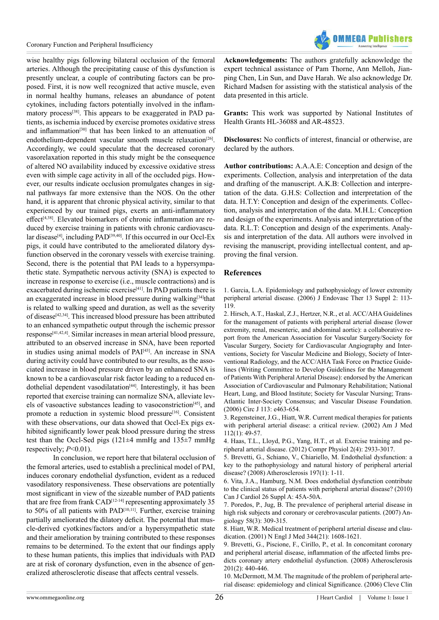

wise healthy pigs following bilateral occlusion of the femoral arteries. Although the precipitating cause of this dysfunction is presently unclear, a couple of contributing factors can be proposed. First, it is now well recognized that active muscle, even in normal healthy humans, releases an abundance of potent cytokines, including factors potentially involved in the inflammatory process<sup>[38]</sup>. This appears to be exaggerated in PAD patients, as ischemia induced by exercise promotes oxidative stress and inflammation<sup>[\[30\]](#page-8-21)</sup> that has been linked to an attenuation of endothelium-dependent vascular smooth muscle relaxation<sup>[26]</sup>. Accordingly, we could speculate that the decreased coronary vasorelaxation reported in this study might be the consequence of altered NO availability induced by excessive oxidative stress even with simple cage activity in all of the occluded pigs. However, our results indicate occlusion promulgates changes in signal pathways far more extensive than the NOS. On the other hand, it is apparent that chronic physical activity, similar to that experienced by our trained pigs, exerts an anti-inflammatory effect<sup>[4,38]</sup>. Elevated biomarkers of chronic inflammation are reduced by exercise training in patients with chronic cardiovascu-lar disease<sup>[\[4\]](#page-7-3)</sup>, including PAD<sup>[39,40]</sup>. If this occurred in our Occl-Ex pigs, it could have contributed to the ameliorated dilatory dysfunction observed in the coronary vessels with exercise training. Second, there is the potential that PAI leads to a hypersympathetic state. Sympathetic nervous activity (SNA) is expected to increase in response to exercise (i.e., muscle contractions) and is exacerbated during ischemic exercise<sup>[\[41\]](#page-8-23)</sup>. In PAD patients there is an exaggerated increase in blood pressure during walking<sup>[\[34\]](#page-8-16)</sup>that is related to walking speed and duration, as well as the severity of disease<sup>[\[42,34\]](#page-8-24)</sup>. This increased blood pressure has been attributed to an enhanced sympathetic output through the ischemic pressor response[\[41,42,4\]](#page-8-24). Similar increases in mean arterial blood pressure, attributed to an observed increase in SNA, have been reported in studies using animal models of PAI[\[43\].](#page-8-25) An increase in SNA during activity could have contributed to our results, as the associated increase in blood pressure driven by an enhanced SNA is known to be a cardiovascular risk factor leading to a reduced endothelial dependent vasodilatation<sup>[44]</sup>. Interestingly, it has been reported that exercise training can normalize SNA, alleviate levels of vasoactive substances leading to vasoconstriction<sup>[45]</sup>, and promote a reduction in systemic blood pressure<sup>[\[16\]](#page-8-4)</sup>. Consistent with these observations, our data showed that Occl-Ex pigs exhibited significantly lower peak blood pressure during the stress test than the Occl-Sed pigs (121±4 mmHg and 135±7 mmHg respectively; *P*<0.01).

In conclusion, we report here that bilateral occlusion of the femoral arteries, used to establish a preclinical model of PAI, induces coronary endothelial dysfunction, evident as a reduced vasodilatory responsiveness. These observations are potentially most significant in view of the sizeable number of PAD patients that are free from frank  $CAD<sup>[12-14]</sup>$  $CAD<sup>[12-14]</sup>$  $CAD<sup>[12-14]</sup>$  representing approximately 35 to 50% of all patients with PAD<sup>[\[10,11\]](#page-7-8)</sup>. Further, exercise training partially ameliorated the dilatory deficit. The potential that muscle-derived cyotkines/factors and/or a hypersympathetic state and their amelioration by training contributed to these responses remains to be determined. To the extent that our findings apply to these human patients, this implies that individuals with PAD are at risk of coronary dysfunction, even in the absence of generalized atherosclerotic disease that affects central vessels.

**Acknowledgements:** The authors gratefully acknowledge the expert technical assistance of Pam Thorne, Ann Melloh, Jianping Chen, Lin Sun, and Dave Harah. We also acknowledge Dr. Richard Madsen for assisting with the statistical analysis of the data presented in this article.

**Grants:** This work was supported by National Institutes of Health Grants HL-36088 and AR-48523.

**Disclosures:** No conflicts of interest, financial or otherwise, are declared by the authors.

**Author contributions:** A.A.A.E: Conception and design of the experiments. Collection, analysis and interpretation of the data and drafting of the manuscript. A.K.B: Collection and interpretation of the data. G.H.S: Collection and interpretation of the data. H.T.Y: Conception and design of the experiments. Collection, analysis and interpretation of the data. M.H.L: Conception and design of the experiments. Analysis and interpretation of the data. R.L.T: Conception and design of the experiments. Analysis and interpretation of the data. All authors were involved in revising the manuscript, providing intellectual content, and approving the final version.

#### **References**

<span id="page-7-0"></span>[1. Garcia, L.A. Epidemiology and pathophysiology of lower extremity](http://www.ncbi.nlm.nih.gov/pubmed/16472007) [peripheral arterial disease. \(2006\) J Endovasc Ther 13 Suppl 2: 113-](http://www.ncbi.nlm.nih.gov/pubmed/16472007) [119.](http://www.ncbi.nlm.nih.gov/pubmed/16472007)

<span id="page-7-2"></span>[2. Hirsch, A.T., Haskal, Z.J., Hertzer, N.R., et al. ACC/AHA Guidelines](https://circ.ahajournals.org/content/113/11/e463.full.pdf+html) [for the management of patients with peripheral arterial disease \(lower](https://circ.ahajournals.org/content/113/11/e463.full.pdf+html) [extremity, renal, mesenteric, and abdominal aortic\): a collaborative re](https://circ.ahajournals.org/content/113/11/e463.full.pdf+html)[port from the American Association for Vascular Surgery/Society for](https://circ.ahajournals.org/content/113/11/e463.full.pdf+html) [Vascular Surgery, Society for Cardiovascular Angiography and Inter](https://circ.ahajournals.org/content/113/11/e463.full.pdf+html)[ventions, Society for Vascular Medicine and Biology, Society of Inter](https://circ.ahajournals.org/content/113/11/e463.full.pdf+html)[ventional Radiology, and the ACC/AHA Task Force on Practice Guide](https://circ.ahajournals.org/content/113/11/e463.full.pdf+html)[lines \(Writing Committee to Develop Guidelines for the Management](https://circ.ahajournals.org/content/113/11/e463.full.pdf+html) [of Patients With Peripheral Arterial Disease\): endorsed by the American](https://circ.ahajournals.org/content/113/11/e463.full.pdf+html) [Association of Cardiovascular and Pulmonary Rehabilitation; National](https://circ.ahajournals.org/content/113/11/e463.full.pdf+html) [Heart, Lung, and Blood Institute; Society for Vascular Nursing; Trans](https://circ.ahajournals.org/content/113/11/e463.full.pdf+html)-[Atlantic Inter-Society Consensus; and Vascular Disease Foundation.](https://circ.ahajournals.org/content/113/11/e463.full.pdf+html) [\(2006\) Circ J 113: e463-654.](https://circ.ahajournals.org/content/113/11/e463.full.pdf+html)

<span id="page-7-1"></span>[3. Regensteiner, J.G., Hiatt, W.R. Current medical therapies for patients](http://www.ncbi.nlm.nih.gov/pubmed/11812407) [with peripheral arterial disease: a critical review. \(2002\) Am J Med](http://www.ncbi.nlm.nih.gov/pubmed/11812407) [112\(1\): 49-57.](http://www.ncbi.nlm.nih.gov/pubmed/11812407)

<span id="page-7-3"></span>[4. Haas, T.L., Lloyd, P.G., Yang, H.T., et al. Exercise training and pe](http://www.ncbi.nlm.nih.gov/pubmed/23720270)[ripheral arterial disease. \(2012\) Compr Physiol 2\(4\): 2933-3017.](http://www.ncbi.nlm.nih.gov/pubmed/23720270)

<span id="page-7-4"></span>[5. Brevetti, G., Schiano, V., Chiariello, M. Endothelial dysfunction: a](http://www.ncbi.nlm.nih.gov/pubmed/18076886) [key to the pathophysiology and natural history of peripheral arterial](http://www.ncbi.nlm.nih.gov/pubmed/18076886) [disease? \(2008\) Atherosclerosis 197\(1\): 1-11.](http://www.ncbi.nlm.nih.gov/pubmed/18076886)

[6. Vita, J.A., Hamburg, N.M. Does endothelial dysfunction contribute](http://www.ncbi.nlm.nih.gov/pubmed/20386761) [to the clinical status of patients with peripheral arterial disease? \(2010\)](http://www.ncbi.nlm.nih.gov/pubmed/20386761) [Can J Cardiol 26 Suppl A: 45A-50A.](http://www.ncbi.nlm.nih.gov/pubmed/20386761)

<span id="page-7-5"></span>[7. Poredos, P., Jug, B. The prevalence of peripheral arterial disease in](http://www.ncbi.nlm.nih.gov/pubmed/17626985) [high risk subjects and coronary or cerebrovascular patients. \(2007\) An](http://www.ncbi.nlm.nih.gov/pubmed/17626985)[giology 58\(3\): 309-315.](http://www.ncbi.nlm.nih.gov/pubmed/17626985)

<span id="page-7-6"></span>[8. Hiatt, W.R. Medical treatment of peripheral arterial disease and clau](http://www.ncbi.nlm.nih.gov/pubmed/11372014)[dication. \(2001\) N Engl J Med 344\(21\): 1608-1621.](http://www.ncbi.nlm.nih.gov/pubmed/11372014)

<span id="page-7-7"></span>[9. Brevetti, G., Piscione, F., Cirillo, P., et al. In concomitant coronary](http://www.ncbi.nlm.nih.gov/pubmed/18358480) [and peripheral arterial disease, inflammation of the affected limbs pre](http://www.ncbi.nlm.nih.gov/pubmed/18358480)[dicts coronary artery endothelial dysfunction. \(2008\) Atherosclerosis](http://www.ncbi.nlm.nih.gov/pubmed/18358480) [201\(2\): 440-446.](http://www.ncbi.nlm.nih.gov/pubmed/18358480)

<span id="page-7-8"></span>[10. McDermott, M.M. The magnitude of the problem of peripheral arte](http://www.ncbi.nlm.nih.gov/pubmed/17385385)[rial disease: epidemiology and clinical Significance. \(2006\) Cleve Clin](http://www.ncbi.nlm.nih.gov/pubmed/17385385)